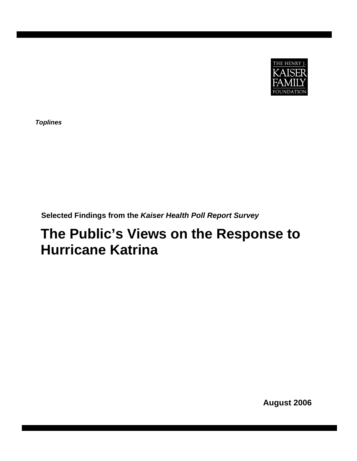

*Toplines* 

**Selected Findings from the** *Kaiser Health Poll Report Survey*

# **The Public's Views on the Response to Hurricane Katrina**

**August 2006**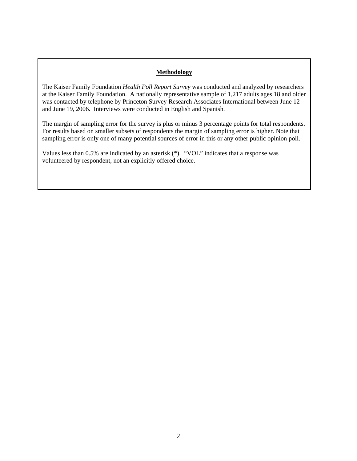## **Methodology**

The Kaiser Family Foundation *Health Poll Report Survey* was conducted and analyzed by researchers at the Kaiser Family Foundation. A nationally representative sample of 1,217 adults ages 18 and older was contacted by telephone by Princeton Survey Research Associates International between June 12 and June 19, 2006. Interviews were conducted in English and Spanish.

The margin of sampling error for the survey is plus or minus 3 percentage points for total respondents. For results based on smaller subsets of respondents the margin of sampling error is higher. Note that sampling error is only one of many potential sources of error in this or any other public opinion poll.

Values less than 0.5% are indicated by an asterisk (\*). "VOL" indicates that a response was volunteered by respondent, not an explicitly offered choice.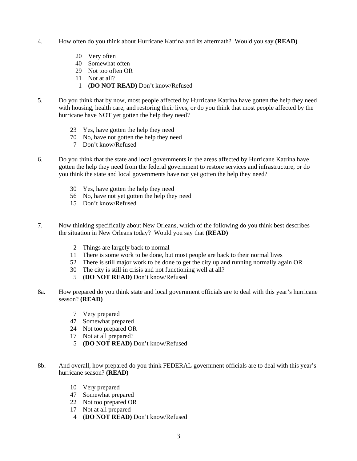- 4. How often do you think about Hurricane Katrina and its aftermath? Would you say **(READ)**
	- 20 Very often
	- 40 Somewhat often
	- 29 Not too often OR
	- 11 Not at all?
	- 1 **(DO NOT READ)** Don't know/Refused
- 5. Do you think that by now, most people affected by Hurricane Katrina have gotten the help they need with housing, health care, and restoring their lives, or do you think that most people affected by the hurricane have NOT yet gotten the help they need?
	- 23 Yes, have gotten the help they need
	- 70 No, have not gotten the help they need
	- 7 Don't know/Refused
- 6. Do you think that the state and local governments in the areas affected by Hurricane Katrina have gotten the help they need from the federal government to restore services and infrastructure, or do you think the state and local governments have not yet gotten the help they need?
	- 30 Yes, have gotten the help they need
	- 56 No, have not yet gotten the help they need
	- 15 Don't know/Refused
- 7. Now thinking specifically about New Orleans, which of the following do you think best describes the situation in New Orleans today? Would you say that **(READ)**
	- 2 Things are largely back to normal
	- 11 There is some work to be done, but most people are back to their normal lives
	- 52 There is still major work to be done to get the city up and running normally again OR
	- 30 The city is still in crisis and not functioning well at all?
	- 5 **(DO NOT READ)** Don't know/Refused
- 8a. How prepared do you think state and local government officials are to deal with this year's hurricane season? **(READ)**
	- 7 Very prepared
	- 47 Somewhat prepared
	- 24 Not too prepared OR
	- 17 Not at all prepared?
	- 5 **(DO NOT READ)** Don't know/Refused
- 8b. And overall, how prepared do you think FEDERAL government officials are to deal with this year's hurricane season? **(READ)**
	- 10 Very prepared
	- 47 Somewhat prepared
	- 22 Not too prepared OR
	- 17 Not at all prepared
	- 4 **(DO NOT READ)** Don't know/Refused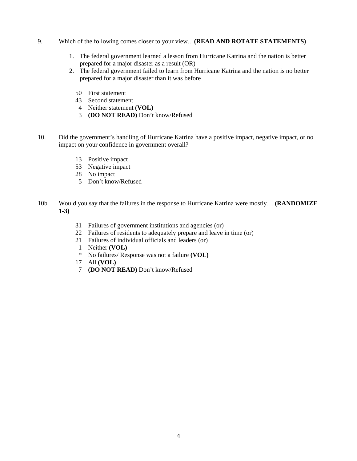- 9. Which of the following comes closer to your view…**(READ AND ROTATE STATEMENTS)**
	- 1. The federal government learned a lesson from Hurricane Katrina and the nation is better prepared for a major disaster as a result (OR)
	- 2. The federal government failed to learn from Hurricane Katrina and the nation is no better prepared for a major disaster than it was before
		- 50 First statement
		- 43 Second statement
		- 4 Neither statement **(VOL)**
		- 3 **(DO NOT READ)** Don't know/Refused
- 10. Did the government's handling of Hurricane Katrina have a positive impact, negative impact, or no impact on your confidence in government overall?
	- 13 Positive impact
	- 53 Negative impact
	- 28 No impact
	- 5 Don't know/Refused
- 10b. Would you say that the failures in the response to Hurricane Katrina were mostly… **(RANDOMIZE 1-3)** 
	- 31 Failures of government institutions and agencies (or)
	- 22 Failures of residents to adequately prepare and leave in time (or)
	- 21 Failures of individual officials and leaders (or)
	- 1 Neither **(VOL)**<br>\* No failures/Res
	- \* No failures/ Response was not a failure **(VOL)**
	- 17 All **(VOL)**
	- 7 **(DO NOT READ)** Don't know/Refused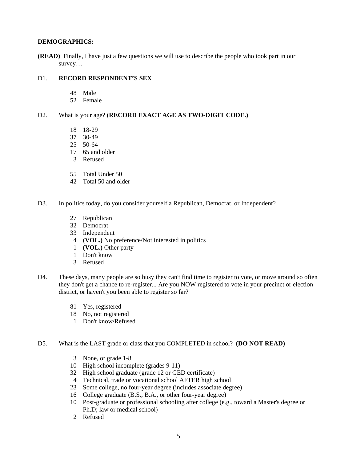#### **DEMOGRAPHICS:**

**(READ)** Finally, I have just a few questions we will use to describe the people who took part in our survey…

#### D1. **RECORD RESPONDENT'S SEX**

- 48 Male
- 52 Female

#### D2. What is your age? **(RECORD EXACT AGE AS TWO-DIGIT CODE.)**

- 18 18-29
- 37 30-49
- 25 50-64
- 17 65 and older
- 3 Refused
- 55 Total Under 50
- 42 Total 50 and older
- D3. In politics today, do you consider yourself a Republican, Democrat, or Independent?
	- 27 Republican
	- 32 Democrat
	- 33 Independent
	- 4 **(VOL.)** No preference/Not interested in politics
	- 1 **(VOL.)** Other party
	- 1 Don't know
	- 3 Refused
- D4. These days, many people are so busy they can't find time to register to vote, or move around so often they don't get a chance to re-register... Are you NOW registered to vote in your precinct or election district, or haven't you been able to register so far?
	- 81 Yes, registered
	- 18 No, not registered
	- 1 Don't know/Refused
- D5. What is the LAST grade or class that you COMPLETED in school? **(DO NOT READ)** 
	- 3 None, or grade 1-8
	- 10 High school incomplete (grades 9-11)
	- 32 High school graduate (grade 12 or GED certificate)
	- 4 Technical, trade or vocational school AFTER high school
	- 23 Some college, no four-year degree (includes associate degree)
	- 16 College graduate (B.S., B.A., or other four-year degree)
	- 10 Post-graduate or professional schooling after college (e.g., toward a Master's degree or Ph.D; law or medical school)
	- 2 Refused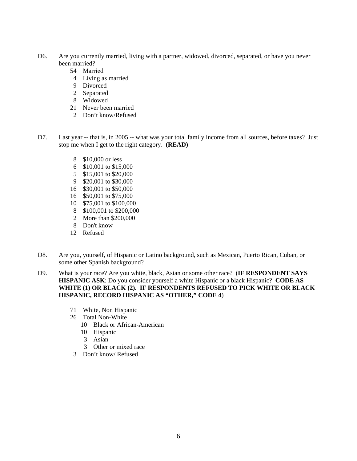- D6. Are you currently married, living with a partner, widowed, divorced, separated, or have you never been married?
	- 54 Married
	- 4 Living as married
	- 9 Divorced
	- 2 Separated
	- 8 Widowed
	- 21 Never been married
	- 2 Don't know/Refused
- D7. Last year -- that is, in 2005 -- what was your total family income from all sources, before taxes? Just stop me when I get to the right category. **(READ)**
	- 8 \$10,000 or less
	- 6 \$10,001 to \$15,000
	- 5 \$15,001 to \$20,000
	- 9 \$20,001 to \$30,000
	- 16 \$30,001 to \$50,000
	- 16 \$50,001 to \$75,000
	- 10 \$75,001 to \$100,000
	- 8 \$100,001 to \$200,000
	- 2 More than \$200,000
	- 8 Don't know
	- 12 Refused
- D8. Are you, yourself, of Hispanic or Latino background, such as Mexican, Puerto Rican, Cuban, or some other Spanish background?
- D9. What is your race? Are you white, black, Asian or some other race? (**IF RESPONDENT SAYS HISPANIC ASK**: Do you consider yourself a white Hispanic or a black Hispanic? **CODE AS WHITE (1) OR BLACK (2). IF RESPONDENTS REFUSED TO PICK WHITE OR BLACK HISPANIC, RECORD HISPANIC AS "OTHER," CODE 4**)
	- 71 White, Non Hispanic
	- 26 Total Non-White
		- 10 Black or African-American
		- 10 Hispanic
		- 3 Asian
		- 3 Other or mixed race
	- 3 Don't know/ Refused